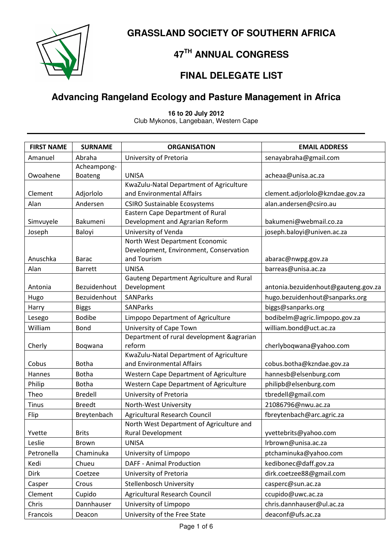**GRASSLAND SOCIETY OF SOUTHERN AFRICA** 



#### **47TH ANNUAL CONGRESS**

#### **FINAL DELEGATE LIST**

#### **Advancing Rangeland Ecology and Pasture Management in Africa**

**16 to 20 July 2012** Club Mykonos, Langebaan, Western Cape

| <b>FIRST NAME</b> | <b>SURNAME</b> | <b>ORGANISATION</b>                                   | <b>EMAIL ADDRESS</b>                |
|-------------------|----------------|-------------------------------------------------------|-------------------------------------|
| Amanuel           | Abraha         | University of Pretoria                                | senayabraha@gmail.com               |
|                   | Acheampong-    |                                                       |                                     |
| Owoahene          | Boateng        | <b>UNISA</b>                                          | acheaa@unisa.ac.za                  |
|                   |                | KwaZulu-Natal Department of Agriculture               |                                     |
| Clement           | Adjorlolo      | and Environmental Affairs                             | clement.adjorlolo@kzndae.gov.za     |
| Alan              | Andersen       | <b>CSIRO Sustainable Ecosystems</b>                   | alan.andersen@csiro.au              |
|                   | Bakumeni       | Eastern Cape Department of Rural                      |                                     |
| Simvuyele         |                | Development and Agrarian Reform                       | bakumeni@webmail.co.za              |
| Joseph            | Baloyi         | University of Venda<br>North West Department Economic | joseph.baloyi@univen.ac.za          |
|                   |                | Development, Environment, Conservation                |                                     |
| Anuschka          | <b>Barac</b>   | and Tourism                                           | abarac@nwpg.gov.za                  |
| Alan              | <b>Barrett</b> | <b>UNISA</b>                                          | barreas@unisa.ac.za                 |
|                   |                | Gauteng Department Agriculture and Rural              |                                     |
| Antonia           | Bezuidenhout   | Development                                           | antonia.bezuidenhout@gauteng.gov.za |
| Hugo              | Bezuidenhout   | <b>SANParks</b>                                       | hugo.bezuidenhout@sanparks.org      |
| Harry             | <b>Biggs</b>   | <b>SANParks</b>                                       | biggs@sanparks.org                  |
| Lesego            | <b>Bodibe</b>  | Limpopo Department of Agriculture                     | bodibelm@agric.limpopo.gov.za       |
| William           | <b>Bond</b>    | University of Cape Town                               | william.bond@uct.ac.za              |
|                   |                | Department of rural development & agrarian            |                                     |
| Cherly            | Boqwana        | reform                                                | cherlyboqwana@yahoo.com             |
|                   |                | KwaZulu-Natal Department of Agriculture               |                                     |
| Cobus             | <b>Botha</b>   | and Environmental Affairs                             | cobus.botha@kzndae.gov.za           |
| Hannes            | <b>Botha</b>   | Western Cape Department of Agriculture                | hannesb@elsenburg.com               |
| Philip            | <b>Botha</b>   | Western Cape Department of Agriculture                | philipb@elsenburg.com               |
| Theo              | <b>Bredell</b> | University of Pretoria                                | tbredell@gmail.com                  |
| <b>Tinus</b>      | <b>Breedt</b>  | North-West University                                 | 21086796@nwu.ac.za                  |
| Flip              | Breytenbach    | <b>Agricultural Research Council</b>                  | fbreytenbach@arc.agric.za           |
|                   |                | North West Department of Agriculture and              |                                     |
| Yvette            | <b>Brits</b>   | Rural Development                                     | yvettebrits@yahoo.com               |
| Leslie            | Brown          | <b>UNISA</b>                                          | Irbrown@unisa.ac.za                 |
| Petronella        | Chaminuka      | University of Limpopo                                 | ptchaminuka@yahoo.com               |
| Kedi              | Chueu          | <b>DAFF - Animal Production</b>                       | kedibonec@daff.gov.za               |
| Dirk              | Coetzee        | University of Pretoria                                | dirk.coetzee88@gmail.com            |
| Casper            | Crous          | <b>Stellenbosch University</b>                        | casperc@sun.ac.za                   |
| Clement           | Cupido         | <b>Agricultural Research Council</b>                  | ccupido@uwc.ac.za                   |
| Chris             | Dannhauser     | University of Limpopo                                 | chris.dannhauser@ul.ac.za           |
| Francois          | Deacon         | University of the Free State                          | deaconf@ufs.ac.za                   |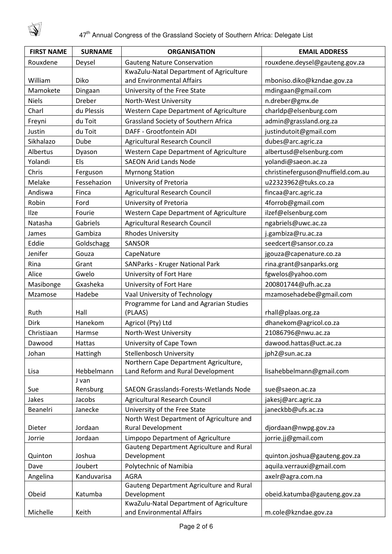

| <b>FIRST NAME</b> | <b>SURNAME</b> | <b>ORGANISATION</b>                                     | <b>EMAIL ADDRESS</b>              |
|-------------------|----------------|---------------------------------------------------------|-----------------------------------|
| Rouxdene          | Deysel         | <b>Gauteng Nature Conservation</b>                      | rouxdene.deysel@gauteng.gov.za    |
|                   |                | KwaZulu-Natal Department of Agriculture                 |                                   |
| William           | Diko           | and Environmental Affairs                               | mboniso.diko@kzndae.gov.za        |
| Mamokete          | Dingaan        | University of the Free State                            | mdingaan@gmail.com                |
| <b>Niels</b>      | <b>Dreber</b>  | North-West University                                   | n.dreber@gmx.de                   |
| Charl             | du Plessis     | Western Cape Department of Agriculture                  | charldp@elsenburg.com             |
| Freyni            | du Toit        | Grassland Society of Southern Africa                    | admin@grassland.org.za            |
| Justin            | du Toit        | DAFF - Grootfontein ADI                                 | justindutoit@gmail.com            |
| Sikhalazo         | Dube           | Agricultural Research Council                           | dubes@arc.agric.za                |
| Albertus          | Dyason         | Western Cape Department of Agriculture                  | albertusd@elsenburg.com           |
| Yolandi           | Els            | <b>SAEON Arid Lands Node</b>                            | yolandi@saeon.ac.za               |
| Chris             | Ferguson       | <b>Myrnong Station</b>                                  | christineferguson@nuffield.com.au |
| Melake            | Fessehazion    | University of Pretoria                                  | u22323962@tuks.co.za              |
| Andiswa           | Finca          | Agricultural Research Council                           | fincaa@arc.agric.za               |
| Robin             | Ford           | University of Pretoria                                  | 4forrob@gmail.com                 |
| Ilze              | Fourie         | Western Cape Department of Agriculture                  | ilzef@elsenburg.com               |
| Natasha           | Gabriels       | <b>Agricultural Research Council</b>                    | ngabriels@uwc.ac.za               |
| James             | Gambiza        | <b>Rhodes University</b>                                | j.gambiza@ru.ac.za                |
| Eddie             | Goldschagg     | <b>SANSOR</b>                                           | seedcert@sansor.co.za             |
| Jenifer           | Gouza          | CapeNature                                              | jgouza@capenature.co.za           |
| Rina              | Grant          | <b>SANParks - Kruger National Park</b>                  | rina.grant@sanparks.org           |
| Alice             | Gwelo          | University of Fort Hare                                 | fgwelos@yahoo.com                 |
| Masibonge         | Gxasheka       | University of Fort Hare                                 | 200801744@ufh.ac.za               |
| Mzamose           | Hadebe         | Vaal University of Technology                           | mzamosehadebe@gmail.com           |
|                   |                | Programme for Land and Agrarian Studies                 |                                   |
| Ruth              | Hall           | (PLAAS)                                                 | rhall@plaas.org.za                |
| <b>Dirk</b>       | Hanekom        | Agricol (Pty) Ltd                                       | dhanekom@agricol.co.za            |
| Christiaan        | Harmse         | North-West University                                   | 21086796@nwu.ac.za                |
| Dawood            | Hattas         | University of Cape Town                                 | dawood.hattas@uct.ac.za           |
| Johan             | Hattingh       | Stellenbosch University                                 | jph2@sun.ac.za                    |
|                   |                | Northern Cape Department Agriculture,                   |                                   |
| Lisa              | Hebbelmann     | Land Reform and Rural Development                       | lisahebbelmann@gmail.com          |
|                   | J van          |                                                         |                                   |
| Sue               | Rensburg       | <b>SAEON Grasslands-Forests-Wetlands Node</b>           | sue@saeon.ac.za                   |
| Jakes             | Jacobs         | Agricultural Research Council                           | jakesj@arc.agric.za               |
| Beanelri          | Janecke        | University of the Free State                            | janeckbb@ufs.ac.za                |
|                   |                | North West Department of Agriculture and                |                                   |
| Dieter            | Jordaan        | <b>Rural Development</b>                                | djordaan@nwpg.gov.za              |
| Jorrie            | Jordaan        | Limpopo Department of Agriculture                       | jorrie.jj@gmail.com               |
| Quinton           | Joshua         | Gauteng Department Agriculture and Rural<br>Development | quinton.joshua@gauteng.gov.za     |
| Dave              | Joubert        | Polytechnic of Namibia                                  | aquila.verrauxi@gmail.com         |
| Angelina          | Kanduvarisa    | <b>AGRA</b>                                             | axelr@agra.com.na                 |
|                   |                | Gauteng Department Agriculture and Rural                |                                   |
| Obeid             | Katumba        | Development                                             | obeid.katumba@gauteng.gov.za      |
|                   |                | KwaZulu-Natal Department of Agriculture                 |                                   |
| Michelle          | Keith          | and Environmental Affairs                               | m.cole@kzndae.gov.za              |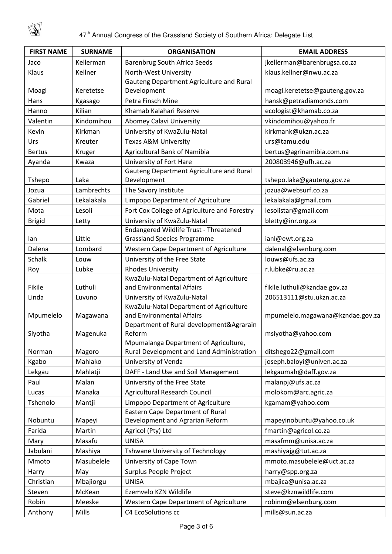

| <b>FIRST NAME</b> | <b>SURNAME</b> | <b>ORGANISATION</b>                                                  | <b>EMAIL ADDRESS</b>             |
|-------------------|----------------|----------------------------------------------------------------------|----------------------------------|
| Jaco              | Kellerman      | <b>Barenbrug South Africa Seeds</b>                                  | jkellerman@barenbrugsa.co.za     |
| Klaus             | Kellner        | North-West University                                                | klaus.kellner@nwu.ac.za          |
|                   |                | Gauteng Department Agriculture and Rural                             |                                  |
| Moagi             | Keretetse      | Development                                                          | moagi.keretetse@gauteng.gov.za   |
| Hans              | Kgasago        | Petra Finsch Mine                                                    | hansk@petradiamonds.com          |
| Hanno             | Kilian         | Khamab Kalahari Reserve                                              | ecologist@khamab.co.za           |
| Valentin          | Kindomihou     | Abomey Calavi University                                             | vkindomihou@yahoo.fr             |
| Kevin             | Kirkman        | University of KwaZulu-Natal                                          | kirkmank@ukzn.ac.za              |
| Urs               | Kreuter        | <b>Texas A&amp;M University</b>                                      | urs@tamu.edu                     |
| <b>Bertus</b>     | Kruger         | Agricultural Bank of Namibia                                         | bertus@agrinamibia.com.na        |
| Ayanda            | Kwaza          | University of Fort Hare                                              | 200803946@ufh.ac.za              |
| Tshepo            | Laka           | Gauteng Department Agriculture and Rural<br>Development              | tshepo.laka@gauteng.gov.za       |
| Jozua             | Lambrechts     | The Savory Institute                                                 | jozua@websurf.co.za              |
| Gabriel           | Lekalakala     | Limpopo Department of Agriculture                                    | lekalakala@gmail.com             |
| Mota              | Lesoli         | Fort Cox College of Agriculture and Forestry                         | lesolistar@gmail.com             |
| <b>Brigid</b>     | Letty          | University of KwaZulu-Natal                                          | bletty@inr.org.za                |
|                   |                | Endangered Wildlife Trust - Threatened                               |                                  |
| lan               | Little         | <b>Grassland Species Programme</b>                                   | ianl@ewt.org.za                  |
| Dalena            | Lombard        | Western Cape Department of Agriculture                               | dalenal@elsenburg.com            |
| Schalk            | Louw           | University of the Free State                                         | louws@ufs.ac.za                  |
| Roy               | Lubke          | <b>Rhodes University</b>                                             | r.lubke@ru.ac.za                 |
|                   |                | KwaZulu-Natal Department of Agriculture                              |                                  |
| Fikile            | Luthuli        | and Environmental Affairs                                            | fikile.luthuli@kzndae.gov.za     |
| Linda             | Luvuno         | University of KwaZulu-Natal                                          | 206513111@stu.ukzn.ac.za         |
| Mpumelelo         | Magawana       | KwaZulu-Natal Department of Agriculture<br>and Environmental Affairs | mpumelelo.magawana@kzndae.gov.za |
|                   |                | Department of Rural development& Agrarain                            |                                  |
| Siyotha           | Magenuka       | Reform                                                               | msiyotha@yahoo.com               |
|                   |                | Mpumalanga Department of Agriculture,                                |                                  |
| Norman            | Magoro         | Rural Development and Land Administration                            | ditshego22@gmail.com             |
| Kgabo             | Mahlako        | University of Venda                                                  | joseph.baloyi@univen.ac.za       |
| Lekgau            | Mahlatji       | DAFF - Land Use and Soil Management                                  | lekgaumah@daff.gov.za            |
| Paul              | Malan          | University of the Free State                                         | malanpj@ufs.ac.za                |
| Lucas             | Manaka         | Agricultural Research Council                                        | molokom@arc.agric.za             |
| Tshenolo          | Mantji         | Limpopo Department of Agriculture                                    | kgamam@yahoo.com                 |
| Nobuntu           | Mapeyi         | Eastern Cape Department of Rural<br>Development and Agrarian Reform  | mapeyinobuntu@yahoo.co.uk        |
| Farida            | Martin         | Agricol (Pty) Ltd                                                    | fmartin@agricol.co.za            |
| Mary              | Masafu         | <b>UNISA</b>                                                         | masafmm@unisa.ac.za              |
| Jabulani          | Mashiya        | Tshwane University of Technology                                     | mashiyajg@tut.ac.za              |
| Mmoto             | Masubelele     | University of Cape Town                                              | mmoto.masubelele@uct.ac.za       |
| Harry             | May            | Surplus People Project                                               | harry@spp.org.za                 |
| Christian         | Mbajiorgu      | <b>UNISA</b>                                                         | mbajica@unisa.ac.za              |
| Steven            | McKean         | Ezemvelo KZN Wildlife                                                | steve@kznwildlife.com            |
| Robin             | Meeske         | Western Cape Department of Agriculture                               | robinm@elsenburg.com             |
| Anthony           | Mills          | C4 EcoSolutions cc                                                   | mills@sun.ac.za                  |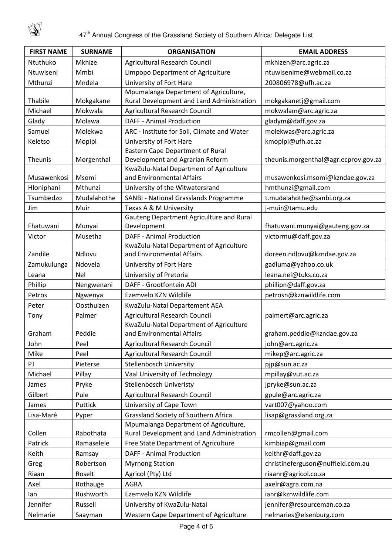

| <b>FIRST NAME</b> | <b>SURNAME</b> | <b>ORGANISATION</b>                                     | <b>EMAIL ADDRESS</b>                 |
|-------------------|----------------|---------------------------------------------------------|--------------------------------------|
| Ntuthuko          | Mkhize         | Agricultural Research Council                           | mkhizen@arc.agric.za                 |
| Ntuwiseni         | Mmbi           | Limpopo Department of Agriculture                       | ntuwisenime@webmail.co.za            |
| Mthunzi           | Mndela         | University of Fort Hare                                 | 200806978@ufh.ac.za                  |
|                   |                | Mpumalanga Department of Agriculture,                   |                                      |
| Thabile           | Mokgakane      | Rural Development and Land Administration               | mokgakanetj@gmail.com                |
| Michael           | Mokwala        | <b>Agricultural Research Council</b>                    | mokwalam@arc.agric.za                |
| Glady             | Molawa         | <b>DAFF - Animal Production</b>                         | gladym@daff.gov.za                   |
| Samuel            | Molekwa        | ARC - Institute for Soil, Climate and Water             | molekwas@arc.agric.za                |
| Keletso           | Mopipi         | University of Fort Hare                                 | kmopipi@ufh.ac.za                    |
|                   |                | Eastern Cape Department of Rural                        |                                      |
| Theunis           | Morgenthal     | Development and Agrarian Reform                         | theunis.morgenthal@agr.ecprov.gov.za |
|                   |                | KwaZulu-Natal Department of Agriculture                 |                                      |
| Musawenkosi       | Msomi          | and Environmental Affairs                               | musawenkosi.msomi@kzndae.gov.za      |
| Hloniphani        | Mthunzi        | University of the Witwatersrand                         | hmthunzi@gmail.com                   |
| Tsumbedzo         | Mudalahothe    | SANBI - National Grasslands Programme                   | t.mudalahothe@sanbi.org.za           |
| <b>Jim</b>        | Muir           | Texas A & M University                                  | j-muir@tamu.edu                      |
| Fhatuwani         | Munyai         | Gauteng Department Agriculture and Rural<br>Development | fhatuwani.munyai@gauteng.gov.za      |
|                   | Musetha        | <b>DAFF - Animal Production</b>                         |                                      |
| Victor            |                | KwaZulu-Natal Department of Agriculture                 | victormu@daff.gov.za                 |
| Zandile           | Ndlovu         | and Environmental Affairs                               | doreen.ndlovu@kzndae.gov.za          |
| Zamukulunga       | Ndovela        | University of Fort Hare                                 | gadluma@yahoo.co.uk                  |
| Leana             | <b>Nel</b>     | University of Pretoria                                  | leana.nel@tuks.co.za                 |
| Phillip           | Nengwenani     | DAFF - Grootfontein ADI                                 | phillipn@daff.gov.za                 |
| Petros            | Ngwenya        | Ezemvelo KZN Wildlife                                   | petrosn@kznwildlife.com              |
| Peter             | Oosthuizen     | KwaZulu-Natal Departement AEA                           |                                      |
| Tony              | Palmer         | Agricultural Research Council                           | palmert@arc.agric.za                 |
|                   |                | KwaZulu-Natal Department of Agriculture                 |                                      |
| Graham            | Peddie         | and Environmental Affairs                               | graham.peddie@kzndae.gov.za          |
| John              | Peel           | Agricultural Research Council                           | john@arc.agric.za                    |
| Mike              | Peel           | <b>Agricultural Research Council</b>                    | mikep@arc.agric.za                   |
| PJ                | Pieterse       | Stellenbosch University                                 | pjp@sun.ac.za                        |
| Michael           | Pillay         | Vaal University of Technology                           | mpillay@vut.ac.za                    |
| James             | Pryke          | Stellenbosch Univeristy                                 | jpryke@sun.ac.za                     |
| Gilbert           | Pule           | <b>Agricultural Research Council</b>                    | gpule@arc.agric.za                   |
| James             | Puttick        | University of Cape Town                                 | vart007@yahoo.com                    |
| Lisa-Maré         | Pyper          | Grassland Society of Southern Africa                    | lisap@grassland.org.za               |
|                   |                | Mpumalanga Department of Agriculture,                   |                                      |
| Collen            | Rabothata      | Rural Development and Land Administration               | rmcollen@gmail.com                   |
| Patrick           | Ramaselele     | Free State Department of Agriculture                    | kimbiap@gmail.com                    |
| Keith             | Ramsay         | <b>DAFF - Animal Production</b>                         | keithr@daff.gov.za                   |
| Greg              | Robertson      | <b>Myrnong Station</b>                                  | christineferguson@nuffield.com.au    |
| Riaan             | Roselt         | Agricol (Pty) Ltd                                       | riaanr@agricol.co.za                 |
| Axel              | Rothauge       | <b>AGRA</b>                                             | axelr@agra.com.na                    |
| lan               | Rushworth      | Ezemvelo KZN Wildlife                                   | ianr@kznwildlife.com                 |
| Jennifer          | Russell        | University of KwaZulu-Natal                             | jennifer@resourceman.co.za           |
| Nelmarie          | Saayman        | Western Cape Department of Agriculture                  | nelmaries@elsenburg.com              |
|                   |                |                                                         |                                      |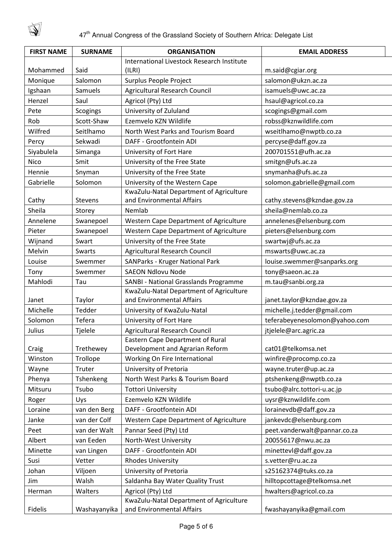$\mathbb{Q}$ 

| <b>FIRST NAME</b> | <b>SURNAME</b> | <b>ORGANISATION</b>                           | <b>EMAIL ADDRESS</b>          |
|-------------------|----------------|-----------------------------------------------|-------------------------------|
|                   |                | International Livestock Research Institute    |                               |
| Mohammed          | Said           | (ILRI)                                        | m.said@cgiar.org              |
| Monique           | Salomon        | Surplus People Project                        | salomon@ukzn.ac.za            |
| Igshaan           | Samuels        | Agricultural Research Council                 | isamuels@uwc.ac.za            |
| Henzel            | Saul           | Agricol (Pty) Ltd                             | hsaul@agricol.co.za           |
| Pete              | Scogings       | University of Zululand                        | scogings@gmail.com            |
| Rob               | Scott-Shaw     | Ezemvelo KZN Wildlife                         | robss@kznwildlife.com         |
| Wilfred           | Seitlhamo      | North West Parks and Tourism Board            | wseitlhamo@nwptb.co.za        |
| Percy             | Sekwadi        | DAFF - Grootfontein ADI                       | percyse@daff.gov.za           |
| Siyabulela        | Simanga        | University of Fort Hare                       | 200701551@ufh.ac.za           |
| Nico              | Smit           | University of the Free State                  | smitgn@ufs.ac.za              |
| Hennie            | Snyman         | University of the Free State                  | snymanha@ufs.ac.za            |
| Gabrielle         | Solomon        | University of the Western Cape                | solomon.gabrielle@gmail.com   |
|                   |                | KwaZulu-Natal Department of Agriculture       |                               |
| Cathy             | <b>Stevens</b> | and Environmental Affairs                     | cathy.stevens@kzndae.gov.za   |
| Sheila            | Storey         | Nemlab                                        | sheila@nemlab.co.za           |
| Annelene          | Swanepoel      | Western Cape Department of Agriculture        | annelenes@elsenburg.com       |
| Pieter            | Swanepoel      | Western Cape Department of Agriculture        | pieters@elsenburg.com         |
| Wijnand           | Swart          | University of the Free State                  | swartwj@ufs.ac.za             |
| Melvin            | Swarts         | <b>Agricultural Research Council</b>          | mswarts@uwc.ac.za             |
| Louise            | Swemmer        | <b>SANParks - Kruger National Park</b>        | louise.swemmer@sanparks.org   |
| Tony              | Swemmer        | <b>SAEON Ndlovu Node</b>                      | tony@saeon.ac.za              |
| Mahlodi           | Tau            | SANBI - National Grasslands Programme         | m.tau@sanbi.org.za            |
|                   |                | KwaZulu-Natal Department of Agriculture       |                               |
| Janet             | Taylor         | and Environmental Affairs                     | janet.taylor@kzndae.gov.za    |
| Michelle          | Tedder         | University of KwaZulu-Natal                   | michelle.j.tedder@gmail.com   |
| Solomon           | Tefera         | University of Fort Hare                       | teferabeyenesolomon@yahoo.com |
| Julius            | Tjelele        | <b>Agricultural Research Council</b>          | jtjelele@arc.agric.za         |
|                   |                | Eastern Cape Department of Rural              |                               |
| Craig             | Trethewey      | Development and Agrarian Reform               | cat01@telkomsa.net            |
| Winston           | Trollope       | Working On Fire International                 | winfire@procomp.co.za         |
| Wayne             | Truter         | University of Pretoria                        | wayne.truter@up.ac.za         |
| Phenya            | Tshenkeng      | North West Parks & Tourism Board              | ptshenkeng@nwptb.co.za        |
| Mitsuru           | Tsubo          | <b>Tottori University</b>                     | tsubo@alrc.tottori-u.ac.jp    |
| Roger             | Uys            | Ezemvelo KZN Wildlife                         | uysr@kznwildlife.com          |
| Loraine           | van den Berg   | DAFF - Grootfontein ADI                       | lorainevdb@daff.gov.za        |
| Janke             | van der Colf   | <b>Western Cape Department of Agriculture</b> | jankevdc@elsenburg.com        |
| Peet              | van der Walt   | Pannar Seed (Pty) Ltd                         | peet.vanderwalt@pannar.co.za  |
| Albert            | van Eeden      | North-West University                         | 20055617@nwu.ac.za            |
| Minette           | van Lingen     | DAFF - Grootfontein ADI                       | minettevl@daff.gov.za         |
| Susi              | Vetter         | <b>Rhodes University</b>                      | s.vetter@ru.ac.za             |
| Johan             | Viljoen        | University of Pretoria                        | s25162374@tuks.co.za          |
| Jim               | Walsh          | Saldanha Bay Water Quality Trust              | hilltopcottage@telkomsa.net   |
| Herman            | Walters        | Agricol (Pty) Ltd                             | hwalters@agricol.co.za        |
|                   |                | KwaZulu-Natal Department of Agriculture       |                               |
| Fidelis           | Washayanyika   | and Environmental Affairs                     | fwashayanyika@gmail.com       |